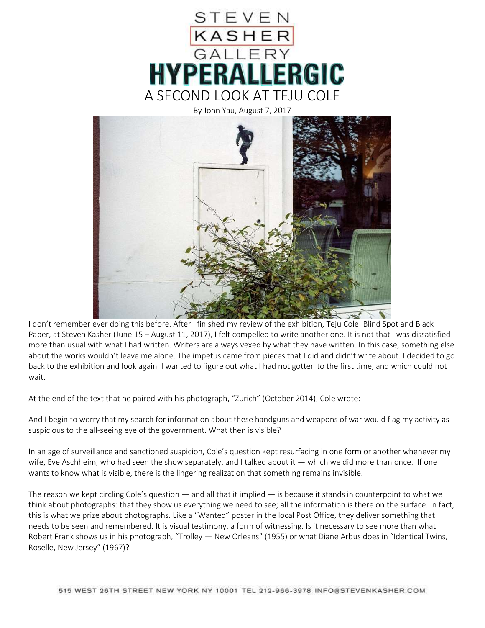

By John Yau, August 7, 2017



I don't remember ever doing this before. After I finished my review of the exhibition, Teju Cole: Blind Spot and Black Paper, at Steven Kasher (June 15 – August 11, 2017), I felt compelled to write another one. It is not that I was dissatisfied more than usual with what I had written. Writers are always vexed by what they have written. In this case, something else about the works wouldn't leave me alone. The impetus came from pieces that I did and didn't write about. I decided to go back to the exhibition and look again. I wanted to figure out what I had not gotten to the first time, and which could not wait.

At the end of the text that he paired with his photograph, "Zurich" (October 2014), Cole wrote:

And I begin to worry that my search for information about these handguns and weapons of war would flag my activity as suspicious to the all-seeing eye of the government. What then is visible?

In an age of surveillance and sanctioned suspicion, Cole's question kept resurfacing in one form or another whenever my wife, Eve Aschheim, who had seen the show separately, and I talked about it — which we did more than once. If one wants to know what is visible, there is the lingering realization that something remains invisible.

The reason we kept circling Cole's question — and all that it implied — is because it stands in counterpoint to what we think about photographs: that they show us everything we need to see; all the information is there on the surface. In fact, this is what we prize about photographs. Like a "Wanted" poster in the local Post Office, they deliver something that needs to be seen and remembered. It is visual testimony, a form of witnessing. Is it necessary to see more than what Robert Frank shows us in his photograph, "Trolley — New Orleans" (1955) or what Diane Arbus does in "Identical Twins, Roselle, New Jersey" (1967)?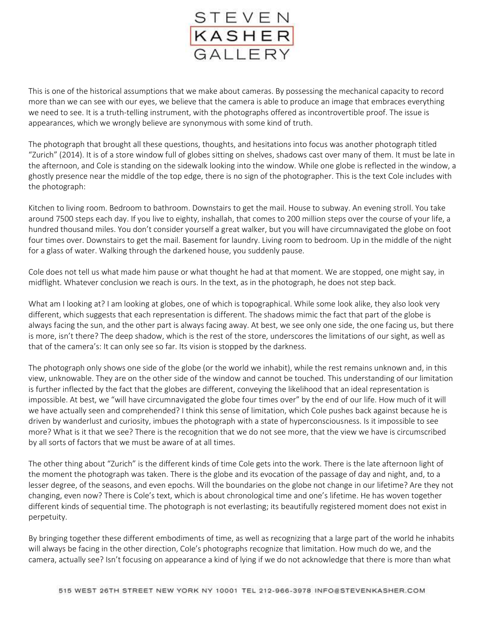

This is one of the historical assumptions that we make about cameras. By possessing the mechanical capacity to record more than we can see with our eyes, we believe that the camera is able to produce an image that embraces everything we need to see. It is a truth-telling instrument, with the photographs offered as incontrovertible proof. The issue is appearances, which we wrongly believe are synonymous with some kind of truth.

The photograph that brought all these questions, thoughts, and hesitations into focus was another photograph titled "Zurich" (2014). It is of a store window full of globes sitting on shelves, shadows cast over many of them. It must be late in the afternoon, and Cole is standing on the sidewalk looking into the window. While one globe is reflected in the window, a ghostly presence near the middle of the top edge, there is no sign of the photographer. This is the text Cole includes with the photograph:

Kitchen to living room. Bedroom to bathroom. Downstairs to get the mail. House to subway. An evening stroll. You take around 7500 steps each day. If you live to eighty, inshallah, that comes to 200 million steps over the course of your life, a hundred thousand miles. You don't consider yourself a great walker, but you will have circumnavigated the globe on foot four times over. Downstairs to get the mail. Basement for laundry. Living room to bedroom. Up in the middle of the night for a glass of water. Walking through the darkened house, you suddenly pause.

Cole does not tell us what made him pause or what thought he had at that moment. We are stopped, one might say, in midflight. Whatever conclusion we reach is ours. In the text, as in the photograph, he does not step back.

What am I looking at? I am looking at globes, one of which is topographical. While some look alike, they also look very different, which suggests that each representation is different. The shadows mimic the fact that part of the globe is always facing the sun, and the other part is always facing away. At best, we see only one side, the one facing us, but there is more, isn't there? The deep shadow, which is the rest of the store, underscores the limitations of our sight, as well as that of the camera's: It can only see so far. Its vision is stopped by the darkness.

The photograph only shows one side of the globe (or the world we inhabit), while the rest remains unknown and, in this view, unknowable. They are on the other side of the window and cannot be touched. This understanding of our limitation is further inflected by the fact that the globes are different, conveying the likelihood that an ideal representation is impossible. At best, we "will have circumnavigated the globe four times over" by the end of our life. How much of it will we have actually seen and comprehended? I think this sense of limitation, which Cole pushes back against because he is driven by wanderlust and curiosity, imbues the photograph with a state of hyperconsciousness. Is it impossible to see more? What is it that we see? There is the recognition that we do not see more, that the view we have is circumscribed by all sorts of factors that we must be aware of at all times.

The other thing about "Zurich" is the different kinds of time Cole gets into the work. There is the late afternoon light of the moment the photograph was taken. There is the globe and its evocation of the passage of day and night, and, to a lesser degree, of the seasons, and even epochs. Will the boundaries on the globe not change in our lifetime? Are they not changing, even now? There is Cole's text, which is about chronological time and one's lifetime. He has woven together different kinds of sequential time. The photograph is not everlasting; its beautifully registered moment does not exist in perpetuity.

By bringing together these different embodiments of time, as well as recognizing that a large part of the world he inhabits will always be facing in the other direction, Cole's photographs recognize that limitation. How much do we, and the camera, actually see? Isn't focusing on appearance a kind of lying if we do not acknowledge that there is more than what